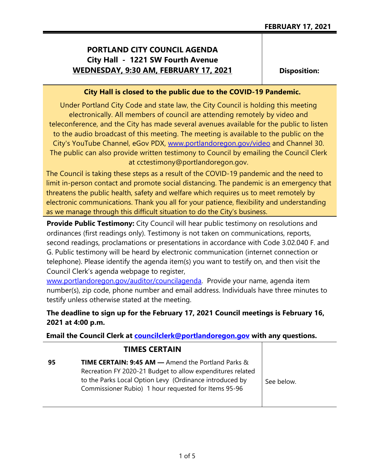# **PORTLAND CITY COUNCIL AGENDA City Hall - 1221 SW Fourth Avenue WEDNESDAY, 9:30 AM, FEBRUARY 17, 2021**

**Disposition:**

## **City Hall is closed to the public due to the COVID-19 Pandemic.**

Under Portland City Code and state law, the City Council is holding this meeting electronically. All members of council are attending remotely by video and teleconference, and the City has made several avenues available for the public to listen to the audio broadcast of this meeting. The meeting is available to the public on the City's YouTube Channel, eGov PDX, [www.portlandoregon.gov/video](http://www.portlandoregon.gov/video) and Channel 30. The public can also provide written testimony to Council by emailing the Council Clerk at cctestimony@portlandoregon.gov.

The Council is taking these steps as a result of the COVID-19 pandemic and the need to limit in-person contact and promote social distancing. The pandemic is an emergency that threatens the public health, safety and welfare which requires us to meet remotely by electronic communications. Thank you all for your patience, flexibility and understanding as we manage through this difficult situation to do the City's business.

**Provide Public Testimony:** City Council will hear public testimony on resolutions and ordinances (first readings only). Testimony is not taken on communications, reports, second readings, proclamations or presentations in accordance with Code 3.02.040 F. and G. Public testimony will be heard by electronic communication (internet connection or telephone). Please identify the agenda item(s) you want to testify on, and then visit the Council Clerk's agenda webpage to register,

[www.portlandoregon.gov/auditor/councilagenda.](http://www.portlandoregon.gov/auditor/councilagenda) Provide your name, agenda item number(s), zip code, phone number and email address. Individuals have three minutes to testify unless otherwise stated at the meeting.

## **The deadline to sign up for the February 17, 2021 Council meetings is February 16, 2021 at 4:00 p.m.**

**Email the Council Clerk at [councilclerk@portlandoregon.gov](mailto:councilclerk@portlandoregon.gov) with any questions.**

|    | <b>TIMES CERTAIN</b>                                                                                                                                                                                                                          |            |
|----|-----------------------------------------------------------------------------------------------------------------------------------------------------------------------------------------------------------------------------------------------|------------|
| 95 | <b>TIME CERTAIN: 9:45 AM -</b> Amend the Portland Parks $\&$<br>Recreation FY 2020-21 Budget to allow expenditures related<br>to the Parks Local Option Levy (Ordinance introduced by<br>Commissioner Rubio) 1 hour requested for Items 95-96 | See below. |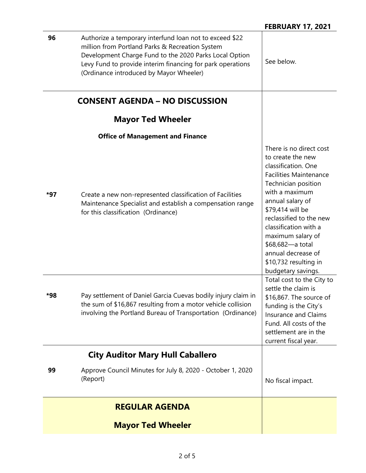| 96  | Authorize a temporary interfund loan not to exceed \$22<br>million from Portland Parks & Recreation System<br>Development Charge Fund to the 2020 Parks Local Option<br>Levy Fund to provide interim financing for park operations<br>(Ordinance introduced by Mayor Wheeler) | See below.                                                                                                                                                                                                                                                                                                                                              |
|-----|-------------------------------------------------------------------------------------------------------------------------------------------------------------------------------------------------------------------------------------------------------------------------------|---------------------------------------------------------------------------------------------------------------------------------------------------------------------------------------------------------------------------------------------------------------------------------------------------------------------------------------------------------|
|     | <b>CONSENT AGENDA - NO DISCUSSION</b>                                                                                                                                                                                                                                         |                                                                                                                                                                                                                                                                                                                                                         |
|     | <b>Mayor Ted Wheeler</b>                                                                                                                                                                                                                                                      |                                                                                                                                                                                                                                                                                                                                                         |
|     | <b>Office of Management and Finance</b>                                                                                                                                                                                                                                       |                                                                                                                                                                                                                                                                                                                                                         |
| *97 | Create a new non-represented classification of Facilities<br>Maintenance Specialist and establish a compensation range<br>for this classification (Ordinance)                                                                                                                 | There is no direct cost<br>to create the new<br>classification. One<br><b>Facilities Maintenance</b><br>Technician position<br>with a maximum<br>annual salary of<br>\$79,414 will be<br>reclassified to the new<br>classification with a<br>maximum salary of<br>\$68,682-a total<br>annual decrease of<br>\$10,732 resulting in<br>budgetary savings. |
| *98 | Pay settlement of Daniel Garcia Cuevas bodily injury claim in<br>the sum of \$16,867 resulting from a motor vehicle collision<br>involving the Portland Bureau of Transportation (Ordinance)                                                                                  | Total cost to the City to<br>settle the claim is<br>\$16,867. The source of<br>funding is the City's<br>Insurance and Claims<br>Fund. All costs of the<br>settlement are in the<br>current fiscal year.                                                                                                                                                 |
|     | <b>City Auditor Mary Hull Caballero</b>                                                                                                                                                                                                                                       |                                                                                                                                                                                                                                                                                                                                                         |
| 99  | Approve Council Minutes for July 8, 2020 - October 1, 2020<br>(Report)                                                                                                                                                                                                        | No fiscal impact.                                                                                                                                                                                                                                                                                                                                       |
|     | <b>REGULAR AGENDA</b>                                                                                                                                                                                                                                                         |                                                                                                                                                                                                                                                                                                                                                         |
|     | <b>Mayor Ted Wheeler</b>                                                                                                                                                                                                                                                      |                                                                                                                                                                                                                                                                                                                                                         |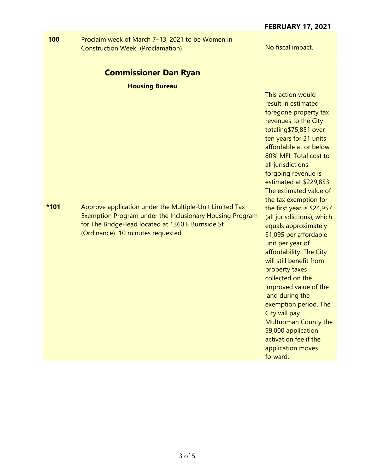### **100** Proclaim week of March 7–13, 2021 to be Women in Construction Week (Proclamation) Monomial Allen Monomial No fiscal impact. **Commissioner Dan Ryan Housing Bureau \*101** Approve application under the Multiple-Unit Limited Tax Exemption Program under the Inclusionary Housing Program for The BridgeHead located at 1360 E Burnside St (Ordinance) 10 minutes requested This action would result in estimated foregone property tax revenues to the City totaling\$75,851 over ten years for 21 units affordable at or below 80% MFI. Total cost to all jurisdictions forgoing revenue is estimated at \$229,853. The estimated value of the tax exemption for the first year is \$24,957 (all jurisdictions), which equals approximately \$1,095 per affordable unit per year of affordability. The City will still benefit from property taxes collected on the improved value of the land during the exemption period. The City will pay Multnomah County the \$9,000 application activation fee if the application moves forward.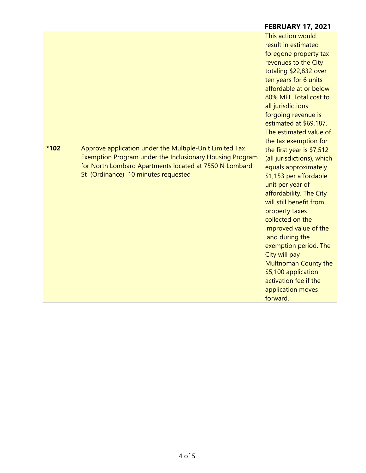#### **FEBRUARY 17, 2021 \*102** Approve application under the Multiple-Unit Limited Tax Exemption Program under the Inclusionary Housing Program for North Lombard Apartments located at 7550 N Lombard St (Ordinance) 10 minutes requested This action would result in estimated foregone property tax revenues to the City totaling \$22,832 over ten years for 6 units affordable at or below 80% MFI. Total cost to all jurisdictions forgoing revenue is estimated at \$69,187. The estimated value of the tax exemption for the first year is \$7,512 (all jurisdictions), which equals approximately \$1,153 per affordable unit per year of affordability. The City will still benefit from property taxes collected on the improved value of the land during the exemption period. The City will pay Multnomah County the \$5,100 application activation fee if the application moves forward.